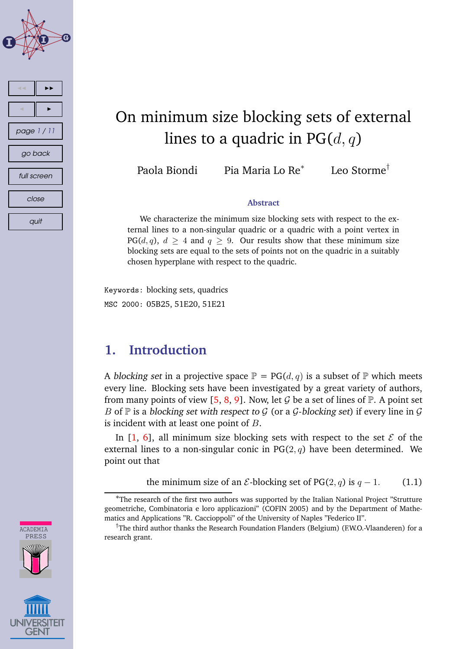

# **CADEMIA** PRESS

## On minimum size blocking sets of external lines to a quadric in  $PG(d, q)$

Paola Biondi Pia Maria Lo Re $^*$ 

Leo Storme†

## **Abstract**

We characterize the minimum size blocking sets with respect to the external lines to a non-singular quadric or a quadric with a point vertex in  $PG(d, q)$ ,  $d > 4$  and  $q > 9$ . Our results show that these minimum size blocking sets are equal to the sets of points not on the quadric in a suitably chosen hyperplane with respect to the quadric.

Keywords: blocking sets, quadrics MSC 2000: 05B25, 51E20, 51E21

## **1. Introduction**

A blocking set in a projective space  $\mathbb{P} = PG(d, q)$  is a subset of  $\mathbb{P}$  which meets every line. Blocking sets have been investigated by a great variety of authors, from many points of view [\[5,](#page-9-0) [8,](#page-9-0) [9\]](#page-9-0). Now, let G be a set of lines of  $\mathbb{P}$ . A point set B of  $\mathbb P$  is a blocking set with respect to G (or a G-blocking set) if every line in G is incident with at least one point of  $B$ .

In  $[1, 6]$  $[1, 6]$  $[1, 6]$ , all minimum size blocking sets with respect to the set  $\mathcal E$  of the external lines to a non-singular conic in  $PG(2, q)$  have been determined. We point out that

the minimum size of an  $\mathcal{E}\text{-}blocking$  set of PG(2, q) is  $q-1$ . (1.1)

<sup>∗</sup>The research of the first two authors was supported by the Italian National Project "Strutture geometriche, Combinatoria e loro applicazioni" (COFIN 2005) and by the Department of Mathematics and Applications "R. Caccioppoli" of the University of Naples "Federico II".

<sup>&</sup>lt;sup>†</sup>The third author thanks the Research Foundation Flanders (Belgium) (F.W.O.-Vlaanderen) for a research grant.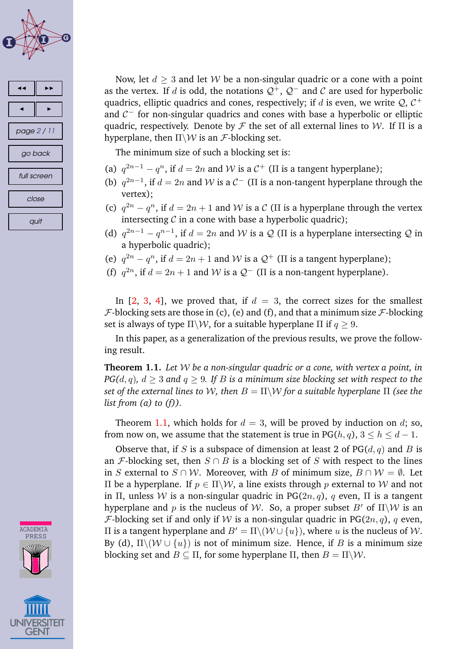<span id="page-1-0"></span>



Now, let  $d > 3$  and let W be a non-singular quadric or a cone with a point as the vertex. If d is odd, the notations  $\mathcal{Q}^+$ ,  $\mathcal{Q}^-$  and C are used for hyperbolic quadrics, elliptic quadrics and cones, respectively; if  $d$  is even, we write  $\mathcal{Q}, \, \mathcal{C}^+$ and  $C^-$  for non-singular quadrics and cones with base a hyperbolic or elliptic quadric, respectively. Denote by  $\mathcal F$  the set of all external lines to W. If  $\Pi$  is a hyperplane, then  $\Pi\backslash W$  is an *F*-blocking set.

The minimum size of such a blocking set is:

- (a)  $q^{2n-1} q^n$ , if  $d = 2n$  and W is a  $C^+$  (II is a tangent hyperplane);
- (b)  $q^{2n-1}$ , if  $d = 2n$  and W is a  $C^-$  ( $\Pi$  is a non-tangent hyperplane through the vertex);
- (c)  $q^{2n} q^n$ , if  $d = 2n + 1$  and W is a C (II is a hyperplane through the vertex intersecting  $C$  in a cone with base a hyperbolic quadric);
- (d)  $q^{2n-1} q^{n-1}$ , if  $d = 2n$  and W is a Q (II is a hyperplane intersecting Q in a hyperbolic quadric);
- (e)  $q^{2n} q^n$ , if  $d = 2n + 1$  and W is a  $\mathcal{Q}^+$  ( $\Pi$  is a tangent hyperplane);
- (f)  $q^{2n}$ , if  $d = 2n + 1$  and W is a  $Q^-$  ( $\Pi$  is a non-tangent hyperplane).

In  $[2, 3, 4]$  $[2, 3, 4]$  $[2, 3, 4]$  $[2, 3, 4]$  $[2, 3, 4]$ , we proved that, if  $d = 3$ , the correct sizes for the smallest  $F$ -blocking sets are those in (c), (e) and (f), and that a minimum size  $\mathcal{F}$ -blocking set is always of type  $\Pi\backslash W$ , for a suitable hyperplane  $\Pi$  if  $q\geq 9$ .

In this paper, as a generalization of the previous results, we prove the following result.

**Theorem 1.1.** *Let* W *be a non-singular quadric or a cone, with vertex a point, in PG(d, q), d*  $\geq$  3 *and q*  $\geq$  9*. If B is a minimum size blocking set with respect to the set of the external lines to W, then*  $B = \Pi \setminus W$  *for a suitable hyperplane*  $\Pi$  *(see the list from (a) to (f)).*

Theorem 1.1, which holds for  $d = 3$ , will be proved by induction on d; so, from now on, we assume that the statement is true in PG( $h, q$ ),  $3 \le h \le d - 1$ .

Observe that, if S is a subspace of dimension at least 2 of  $PG(d, q)$  and B is an *F*-blocking set, then  $S \cap B$  is a blocking set of S with respect to the lines in S external to  $S \cap W$ . Moreover, with B of minimum size,  $B \cap W = \emptyset$ . Let Π be a hyperplane. If p ∈ Π\W, a line exists through p external to W and not in Π, unless W is a non-singular quadric in PG( $2n, q$ ), q even, Π is a tangent hyperplane and p is the nucleus of W. So, a proper subset B' of  $\Pi\setminus W$  is an *F*-blocking set if and only if W is a non-singular quadric in PG(2n, q), q even, II is a tangent hyperplane and  $B' = \Pi \setminus (W \cup \{u\})$ , where *u* is the nucleus of *W*. By (d),  $\Pi\setminus(\mathcal{W}\cup\{u\})$  is not of minimum size. Hence, if B is a minimum size blocking set and  $B \subset \Pi$ , for some hyperplane  $\Pi$ , then  $B = \Pi \setminus \mathcal{W}$ .

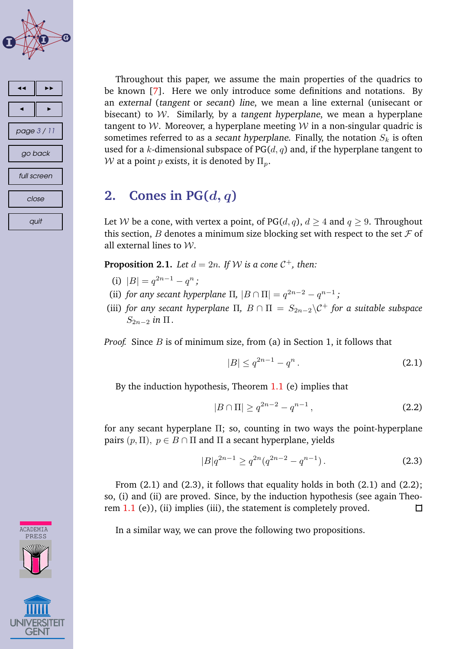



Throughout this paper, we assume the main properties of the quadrics to be known [\[7\]](#page-9-0). Here we only introduce some definitions and notations. By an external (tangent or secant) line, we mean a line external (unisecant or bisecant) to  $W$ . Similarly, by a tangent hyperplane, we mean a hyperplane tangent to W. Moreover, a hyperplane meeting  $W$  in a non-singular quadric is sometimes referred to as a secant hyperplane. Finally, the notation  $S_k$  is often used for a k-dimensional subspace of  $PG(d, q)$  and, if the hyperplane tangent to W at a point p exists, it is denoted by  $\Pi_p$ .

## 2. **Cones** in  $PG(d, q)$

Let W be a cone, with vertex a point, of PG( $d, q$ ),  $d \geq 4$  and  $q \geq 9$ . Throughout this section, B denotes a minimum size blocking set with respect to the set  $\mathcal F$  of all external lines to  $W$ .

**Proposition 2.1.** Let  $d = 2n$ . If W is a cone  $C^+$ , then:

- (i)  $|B| = q^{2n-1} q^n;$
- (ii) *for any secant hyperplane*  $\Pi$ ,  $|B \cap \Pi| = q^{2n-2} q^{n-1}$ ;
- (iii) *for any secant hyperplane*  $\Pi$ ,  $B \cap \Pi = S_{2n-2} \setminus C^+$  *for a suitable subspace*  $S_{2n-2}$  *in*  $\Pi$ .

*Proof.* Since *B* is of minimum size, from (a) in Section 1, it follows that

$$
|B| \le q^{2n-1} - q^n. \tag{2.1}
$$

By the induction hypothesis, Theorem [1.1](#page-1-0) (e) implies that

$$
|B \cap \Pi| \ge q^{2n-2} - q^{n-1}, \tag{2.2}
$$

for any secant hyperplane Π; so, counting in two ways the point-hyperplane pairs  $(p, \Pi)$ ,  $p \in B \cap \Pi$  and  $\Pi$  a secant hyperplane, yields

$$
|B|q^{2n-1} \ge q^{2n} (q^{2n-2} - q^{n-1}).
$$
\n(2.3)

From  $(2.1)$  and  $(2.3)$ , it follows that equality holds in both  $(2.1)$  and  $(2.2)$ ; so, (i) and (ii) are proved. Since, by the induction hypothesis (see again Theo-rem [1.1](#page-1-0) (e)), (ii) implies (iii), the statement is completely proved.  $\Box$ 

In a similar way, we can prove the following two propositions.

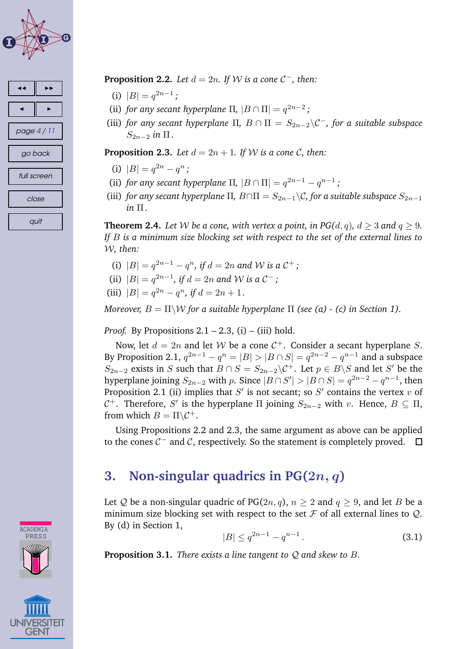





- (i)  $|B| = q^{2n-1}$ ;
- (ii) *for any secant hyperplane*  $\Pi$ ,  $|B \cap \Pi| = q^{2n-2}$ ;
- (iii) *for any secant hyperplane*  $\Pi$ ,  $B \cap \Pi = S_{2n-2} \setminus C^-$ , *for a suitable subspace*  $S_{2n-2}$  *in*  $\Pi$ .

**Proposition 2.3.** Let  $d = 2n + 1$ . If W is a cone C, then:

- (i)  $|B| = q^{2n} q^n$ ;
- (ii) *for any secant hyperplane*  $\Pi$ ,  $|B \cap \Pi| = q^{2n-1} q^{n-1}$ ;
- (iii) *for any secant hyperplane*  $\Pi$ ,  $B \cap \Pi = S_{2n-1} \setminus C$ *, for a suitable subspace*  $S_{2n-1}$  $in$   $\Pi$ .

**Theorem 2.4.** Let W be a cone, with vertex a point, in PG( $d, q$ ),  $d \geq 3$  and  $q \geq 9$ . *If* B *is a minimum size blocking set with respect to the set of the external lines to* W*, then:*

- (i)  $|B| = q^{2n-1} q^n$ , if  $d = 2n$  and W is a  $C^+$ ;
- (ii)  $|B| = q^{2n-1}$ , if  $d = 2n$  and W is a  $C^-$ ;
- (iii)  $|B| = q^{2n} q^n$ , if  $d = 2n + 1$ .

*Moreover,*  $B = \Pi \backslash \mathcal{W}$  *for a suitable hyperplane*  $\Pi$  *(see (a) - (c) in Section 1).* 

#### *Proof.* By Propositions  $2.1 - 2.3$ , (i) – (iii) hold.

Now, let  $d = 2n$  and let W be a cone  $C^+$ . Consider a secant hyperplane S. By Proposition 2.1,  $q^{2n-1} - q^n = |B| > |B \cap S| = q^{2n-2} - q^{n-1}$  and a subspace  $S_{2n-2}$  exists in S such that  $B \cap S = S_{2n-2} \backslash C^+$ . Let  $p \in B \backslash S$  and let S' be the hyperplane joining  $S_{2n-2}$  with  $p$ . Since  $|B \cap S'| > |B \cap S| = q^{2n-2} - q^{n-1}$ , then Proposition 2.1 (ii) implies that  $S'$  is not secant; so  $S'$  contains the vertex  $v$  of  $\mathcal{C}^+$ . Therefore, S' is the hyperplane Π joining  $S_{2n-2}$  with v. Hence,  $B \subseteq \Pi$ , from which  $B = \Pi \backslash C^+$ .

Using Propositions 2.2 and 2.3, the same argument as above can be applied to the cones  $C^-$  and  $C$ , respectively. So the statement is completely proved.

## **3. Non-singular quadrics in PG(**2n, q**)**

Let Q be a non-singular quadric of PG(2n, q),  $n \ge 2$  and  $q \ge 9$ , and let B be a minimum size blocking set with respect to the set  $\mathcal F$  of all external lines to  $\mathcal Q$ . By (d) in Section 1,

$$
|B| \le q^{2n-1} - q^{n-1} \,. \tag{3.1}
$$

**Proposition 3.1.** *There exists a line tangent to* Q *and skew to* B*.*

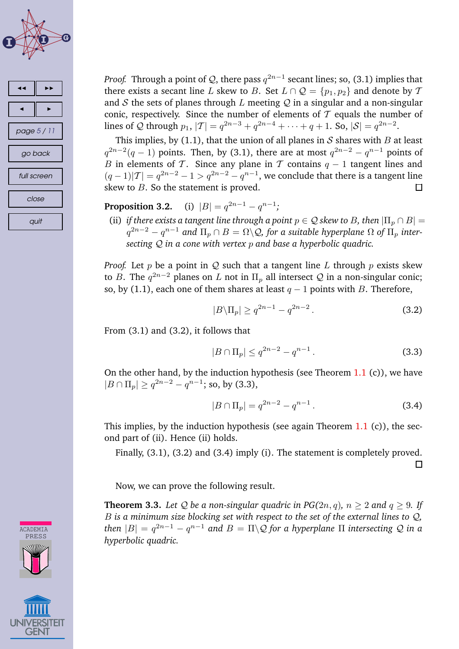



*Proof.* Through a point of  $Q$ , there pass  $q^{2n-1}$  secant lines; so, (3.1) implies that there exists a secant line L skew to B. Set  $L \cap Q = \{p_1, p_2\}$  and denote by T and S the sets of planes through L meeting  $Q$  in a singular and a non-singular conic, respectively. Since the number of elements of  $\mathcal T$  equals the number of lines of Q through  $p_1$ ,  $|T| = q^{2n-3} + q^{2n-4} + \cdots + q + 1$ . So,  $|S| = q^{2n-2}$ .

This implies, by (1.1), that the union of all planes in  $S$  shares with  $B$  at least  $q^{2n-2}(q-1)$  points. Then, by (3.1), there are at most  $q^{2n-2} - q^{n-1}$  points of B in elements of T. Since any plane in T contains  $q - 1$  tangent lines and  $(q-1)|\mathcal{T}| = q^{2n-2} - 1 > q^{2n-2} - q^{n-1}$ , we conclude that there is a tangent line skew to  $B$ . So the statement is proved.  $\Box$ 

**Proposition 3.2.**  $2n-1-q^{n-1}$ ;

(ii) *if there exists a tangent line through a point*  $p \in \mathcal{Q}$  *skew to B, then*  $|\Pi_p \cap B|$  =  $q^{2n-2} - q^{n-1}$  and  $\Pi_p \cap B = \Omega \backslash \mathcal{Q}$ , for a suitable hyperplane  $\Omega$  of  $\Pi_p$  inter*secting* Q *in a cone with vertex* p *and base a hyperbolic quadric.*

*Proof.* Let p be a point in Q such that a tangent line L through p exists skew to B. The  $q^{2n-2}$  planes on L not in  $\Pi_p$  all intersect Q in a non-singular conic; so, by (1.1), each one of them shares at least  $q - 1$  points with B. Therefore,

$$
|B\backslash \Pi_p| \ge q^{2n-1} - q^{2n-2} \,. \tag{3.2}
$$

From (3.1) and (3.2), it follows that

$$
|B \cap \Pi_p| \le q^{2n-2} - q^{n-1} \,. \tag{3.3}
$$

On the other hand, by the induction hypothesis (see Theorem  $1.1$  (c)), we have  $|B \cap \Pi_p| \ge q^{2n-2} - q^{n-1}$ ; so, by (3.3),

$$
|B \cap \Pi_p| = q^{2n-2} - q^{n-1}.
$$
 (3.4)

This implies, by the induction hypothesis (see again Theorem  $1.1$  (c)), the second part of (ii). Hence (ii) holds.

Finally, (3.1), (3.2) and (3.4) imply (i). The statement is completely proved.  $\Box$ 

Now, we can prove the following result.

**Theorem 3.3.** Let Q be a non-singular quadric in PG(2n, q),  $n \ge 2$  and  $q \ge 9$ . If B *is a minimum size blocking set with respect to the set of the external lines to* Q*,*  $t$ hen  $|B| = q^{2n-1} - q^{n-1}$  and  $B = \Pi\backslash\mathcal{Q}$  for a hyperplane  $\Pi$  intersecting  $\mathcal Q$  in a *hyperbolic quadric.*

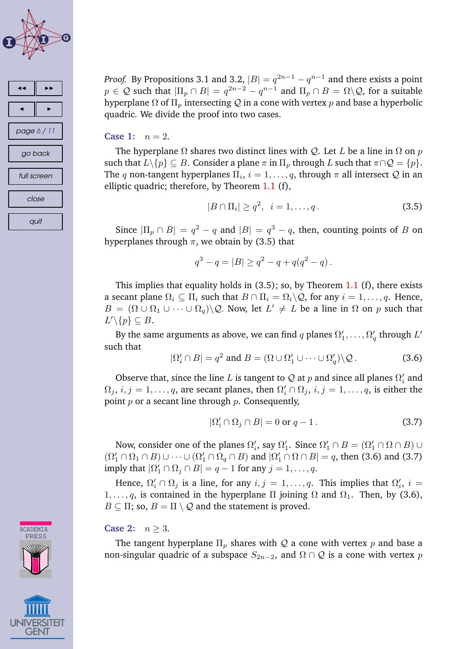



CADEMIA PRESS

*Proof.* By Propositions 3.1 and 3.2,  $|B| = q^{2n-1} - q^{n-1}$  and there exists a point  $p \in \mathcal{Q}$  such that  $|\Pi_p \cap B| = q^{2n-2} - q^{n-1}$  and  $\Pi_p \cap B = \Omega \backslash \mathcal{Q}$ , for a suitable hyperplane  $\Omega$  of  $\Pi_p$  intersecting  $\mathcal Q$  in a cone with vertex p and base a hyperbolic quadric. We divide the proof into two cases.

#### **Case 1:**  $n = 2$ .

The hyperplane  $\Omega$  shares two distinct lines with Q. Let L be a line in  $\Omega$  on p such that  $L \setminus \{p\} \subseteq B$ . Consider a plane  $\pi$  in  $\Pi_p$  through  $L$  such that  $\pi \cap \mathcal{Q} = \{p\}$ . The q non-tangent hyperplanes  $\Pi_i$ ,  $i = 1, \ldots, q$ , through  $\pi$  all intersect  $\mathcal Q$  in an elliptic quadric; therefore, by Theorem [1.1](#page-1-0) (f),

$$
|B \cap \Pi_i| \ge q^2, \ \ i = 1, \dots, q. \tag{3.5}
$$

Since  $|\Pi_p \cap B| = q^2 - q$  and  $|B| = q^3 - q$ , then, counting points of B on hyperplanes through  $\pi$ , we obtain by (3.5) that

$$
q^3 - q = |B| \ge q^2 - q + q(q^2 - q).
$$

This implies that equality holds in  $(3.5)$ ; so, by Theorem [1.1](#page-1-0)  $(f)$ , there exists a secant plane  $\Omega_i \subseteq \Pi_i$  such that  $B \cap \Pi_i = \Omega_i \backslash Q$ , for any  $i = 1, \ldots, q$ . Hence,  $B = (\Omega \cup \Omega_1 \cup \cdots \cup \Omega_q) \backslash Q$ . Now, let  $L' \neq L$  be a line in  $\Omega$  on p such that  $L'\backslash\{p\}\subseteq B.$ 

By the same arguments as above, we can find  $q$  planes  $\Omega'_1,\ldots,\Omega'_q$  through  $L'$ such that

$$
|\Omega'_i \cap B| = q^2 \text{ and } B = (\Omega \cup \Omega'_1 \cup \dots \cup \Omega'_q) \backslash \mathcal{Q}. \tag{3.6}
$$

Observe that, since the line L is tangent to Q at  $p$  and since all planes  $\Omega_i'$  and  $\Omega_j$ ,  $i,j = 1, \ldots, q$ , are secant planes, then  $\Omega'_i \cap \Omega_j$ ,  $i,j = 1, \ldots, q$ , is either the point  $p$  or a secant line through  $p$ . Consequently,

$$
|\Omega'_i \cap \Omega_j \cap B| = 0 \text{ or } q - 1. \tag{3.7}
$$

Now, consider one of the planes  $\Omega'_i$ , say  $\Omega'_1$ . Since  $\Omega'_1 \cap B = (\Omega'_1 \cap \Omega \cap B) \cup$  $(\Omega'_1 \cap \Omega_1 \cap B) \cup \cdots \cup (\Omega'_1 \cap \Omega_q \cap B)$  and  $|\Omega'_1 \cap \Omega \cap B| = q$ , then (3.6) and (3.7) imply that  $|\Omega'_1 \cap \Omega_j \cap B| = q - 1$  for any  $j = 1, \ldots, q$ .

Hence,  $\Omega'_i \cap \Omega_j$  is a line, for any  $i, j = 1, \ldots, q$ . This implies that  $\Omega'_i$ ,  $i =$  $1, \ldots, q$ , is contained in the hyperplane  $\Pi$  joining  $\Omega$  and  $\Omega_1$ . Then, by (3.6),  $B \subseteq \Pi$ ; so,  $B = \Pi \setminus \mathcal{Q}$  and the statement is proved.

**Case 2:**  $n > 3$ .

The tangent hyperplane  $\Pi_p$  shares with Q a cone with vertex p and base a non-singular quadric of a subspace  $S_{2n-2}$ , and  $\Omega \cap \mathcal{Q}$  is a cone with vertex p

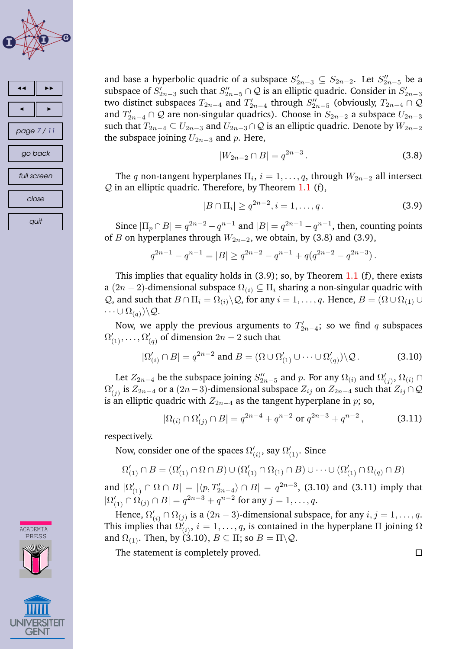



**CADEMIA PRESS** 

and base a hyperbolic quadric of a subspace  $S'_{2n-3} \subseteq S_{2n-2}$ . Let  $S''_{2n-5}$  be a subspace of  $S'_{2n-3}$  such that  $S''_{2n-5} \cap \mathcal{Q}$  is an elliptic quadric. Consider in  $S'_{2n-3}$ two distinct subspaces  $T_{2n-4}$  and  $T'_{2n-4}$  through  $S''_{2n-5}$  (obviously,  $T_{2n-4} \cap \mathcal{Q}$ and  $T'_{2n-4} \cap \mathcal{Q}$  are non-singular quadrics). Choose in  $S_{2n-2}$  a subspace  $U_{2n-3}$ such that  $T_{2n-4} \subseteq U_{2n-3}$  and  $U_{2n-3} \cap \mathcal{Q}$  is an elliptic quadric. Denote by  $W_{2n-2}$ the subspace joining  $U_{2n-3}$  and p. Here,

$$
|W_{2n-2} \cap B| = q^{2n-3}.
$$
\n(3.8)

The q non-tangent hyperplanes  $\Pi_i$ ,  $i = 1, \ldots, q$ , through  $W_{2n-2}$  all intersect  $Q$  in an elliptic quadric. Therefore, by Theorem [1.1](#page-1-0) (f),

$$
|B \cap \Pi_i| \ge q^{2n-2}, i = 1, \dots, q.
$$
 (3.9)

Since  $|\Pi_p \cap B| = q^{2n-2} - q^{n-1}$  and  $|B| = q^{2n-1} - q^{n-1}$ , then, counting points of B on hyperplanes through  $W_{2n-2}$ , we obtain, by (3.8) and (3.9),

$$
q^{2n-1} - q^{n-1} = |B| \ge q^{2n-2} - q^{n-1} + q(q^{2n-2} - q^{2n-3}).
$$

This implies that equality holds in  $(3.9)$ ; so, by Theorem [1.1](#page-1-0)  $(f)$ , there exists a (2n – 2)-dimensional subspace  $\Omega_{(i)} \subseteq \Pi_i$  sharing a non-singular quadric with Q, and such that  $B \cap \Pi_i = \Omega_{(i)} \backslash Q$ , for any  $i = 1, \ldots, q$ . Hence,  $B = (\Omega \cup \Omega_{(1)} \cup$  $\cdots \cup \Omega_{(q)}\rangle\backslash \mathcal{Q}.$ 

Now, we apply the previous arguments to  $T'_{2n-4}$ ; so we find q subspaces  $\Omega'_{(1)}, \ldots, \Omega'_{(q)}$  of dimension  $2n-2$  such that

$$
|\Omega'_{(i)} \cap B| = q^{2n-2} \text{ and } B = (\Omega \cup \Omega'_{(1)} \cup \dots \cup \Omega'_{(q)}) \backslash \mathcal{Q}. \tag{3.10}
$$

Let  $Z_{2n-4}$  be the subspace joining  $S''_{2n-5}$  and p. For any  $\Omega_{(i)}$  and  $\Omega'_{(j)}$ ,  $\Omega_{(i)} \cap$  $\Omega'_{(j)}$  is  $Z_{2n-4}$  or a  $(2n-3)$ -dimensional subspace  $Z_{ij}$  on  $Z_{2n-4}$  such that  $Z_{ij}\cap {\cal Q}$ is an elliptic quadric with  $Z_{2n-4}$  as the tangent hyperplane in p; so,

$$
|\Omega(i) \cap \Omega'_{(j)} \cap B| = q^{2n-4} + q^{n-2} \text{ or } q^{2n-3} + q^{n-2},
$$
 (3.11)

respectively.

Now, consider one of the spaces  $\Omega'_{(i)},$  say  $\Omega'_{(1)}.$  Since

$$
\Omega'_{(1)} \cap B = (\Omega'_{(1)} \cap \Omega \cap B) \cup (\Omega'_{(1)} \cap \Omega_{(1)} \cap B) \cup \cdots \cup (\Omega'_{(1)} \cap \Omega_{(q)} \cap B)
$$

and  $|\Omega'_{(1)} \cap \Omega \cap B| = |\langle p, T'_{2n-4}\rangle \cap B| = q^{2n-3}$ , (3.10) and (3.11) imply that  $|\Omega'_{(1)} \cap \Omega_{(j)} \cap B| = q^{2n-3} + q^{n-2}$  for any  $j = 1, ..., q$ .

Hence,  $\Omega'_{(i)} \cap \Omega_{(j)}$  is a  $(2n-3)$ -dimensional subspace, for any  $i, j = 1, \ldots, q$ . This implies that  $\Omega'_{(i)},\, i=1,\ldots,q,$  is contained in the hyperplane  $\Pi$  joining  $\Omega$ and  $\Omega_{(1)}$ . Then, by (3.10),  $B \subseteq \Pi$ ; so  $B = \Pi \backslash Q$ .

The statement is completely proved.

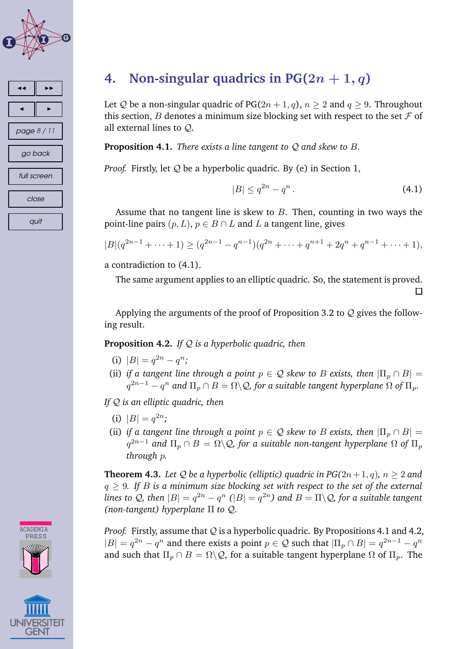<span id="page-7-0"></span>



## **4. Non-singular quadrics in**  $PG(2n + 1, q)$

Let Q be a non-singular quadric of PG( $2n + 1, q$ ),  $n \ge 2$  and  $q \ge 9$ . Throughout this section, B denotes a minimum size blocking set with respect to the set  $\mathcal F$  of all external lines to Q.

**Proposition 4.1.** *There exists a line tangent to* Q *and skew to* B*.*

*Proof.* Firstly, let Q be a hyperbolic quadric. By (e) in Section 1,

$$
|B| \le q^{2n} - q^n. \tag{4.1}
$$

Assume that no tangent line is skew to  $B$ . Then, counting in two ways the point-line pairs  $(p, L)$ ,  $p \in B \cap L$  and L a tangent line, gives

$$
|B|(q^{2n-1}+\cdots+1) \ge (q^{2n-1}-q^{n-1})(q^{2n}+\cdots+q^{n+1}+2q^n+q^{n-1}+\cdots+1),
$$

a contradiction to (4.1).

The same argument applies to an elliptic quadric. So, the statement is proved.

 $\Box$ 

Applying the arguments of the proof of Proposition 3.2 to  $Q$  gives the following result.

#### **Proposition 4.2.** *If* Q *is a hyperbolic quadric, then*

- (i)  $|B| = q^{2n} q^n;$
- (ii) *if a tangent line through a point*  $p \in Q$  *skew to B exists, then*  $|\Pi_p \cap B|$  =  $q^{2n-1} - q^n$  and  $\Pi_p \cap B = \Omega \backslash \mathcal{Q}$ , for a suitable tangent hyperplane  $\Omega$  of  $\Pi_p.$

*If* Q *is an elliptic quadric, then*

- (i)  $|B| = q^{2n}$ ;
- (ii) *if a tangent line through a point*  $p \in \mathcal{Q}$  *skew to B exists, then*  $|\Pi_p \cap B|$  =  $q^{2n-1}$  and  $\Pi_p \cap B = \Omega \backslash \mathcal{Q}$ , for a suitable non-tangent hyperplane  $\Omega$  of  $\Pi_p$ *through* p*.*

**Theorem 4.3.** Let Q be a hyperbolic (elliptic) quadric in  $PG(2n+1, q)$ ,  $n \geq 2$  and q ≥ 9*. If* B *is a minimum size blocking set with respect to the set of the external lines to Q, then*  $|B| = q^{2n} - q^n$   $(|B| = q^{2n})$  *and*  $B = \Pi \backslash Q$ *, for a suitable tangent (non-tangent) hyperplane* Π *to* Q*.*

*Proof.* Firstly, assume that Q is a hyperbolic quadric. By Propositions 4.1 and 4.2,  $|B| = q^{2n} - q^n$  and there exists a point  $p \in \mathcal{Q}$  such that  $|\Pi_p \cap B| = q^{2n-1} - q^n$ and such that  $\Pi_p \cap B = \Omega \backslash \mathcal{Q}$ , for a suitable tangent hyperplane  $\Omega$  of  $\Pi_p$ . The



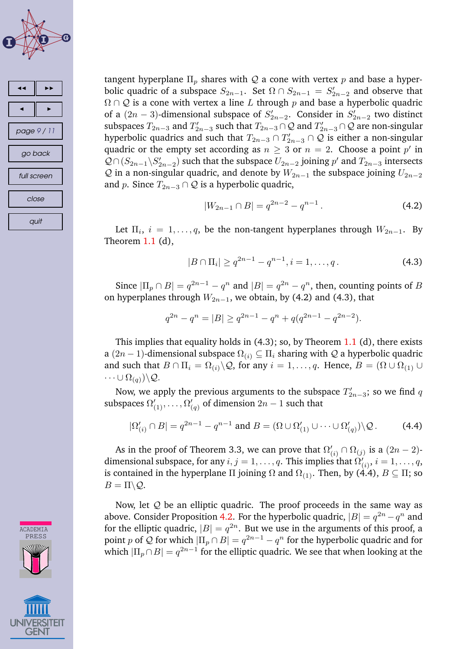



CADEMI<sup>2</sup> PRESS

tangent hyperplane  $\Pi_p$  shares with Q a cone with vertex p and base a hyperbolic quadric of a subspace  $S_{2n-1}$ . Set  $\Omega \cap S_{2n-1} = S'_{2n-2}$  and observe that  $\Omega \cap \mathcal{Q}$  is a cone with vertex a line L through p and base a hyperbolic quadric of a  $(2n-3)$ -dimensional subspace of  $S'_{2n-2}$ . Consider in  $S'_{2n-2}$  two distinct subspaces  $T_{2n-3}$  and  $T'_{2n-3}$  such that  $T_{2n-3} \cap \mathcal{Q}$  and  $T'_{2n-3} \cap \mathcal{Q}$  are non-singular hyperbolic quadrics and such that  $T_{2n-3} \cap T'_{2n-3} \cap \mathcal{Q}$  is either a non-singular quadric or the empty set according as  $n \geq 3$  or  $n = 2$ . Choose a point  $p'$  in  $Q \cap (S_{2n-1} \setminus S'_{2n-2})$  such that the subspace  $U_{2n-2}$  joining p' and  $T_{2n-3}$  intersects Q in a non-singular quadric, and denote by  $W_{2n-1}$  the subspace joining  $U_{2n-2}$ and p. Since  $T_{2n-3} \cap Q$  is a hyperbolic quadric,

$$
|W_{2n-1} \cap B| = q^{2n-2} - q^{n-1}.
$$
 (4.2)

Let  $\Pi_i$ ,  $i = 1, \ldots, q$ , be the non-tangent hyperplanes through  $W_{2n-1}$ . By Theorem  $1.1$  (d),

$$
|B \cap \Pi_i| \ge q^{2n-1} - q^{n-1}, i = 1, \dots, q.
$$
 (4.3)

Since  $|\Pi_p \cap B| = q^{2n-1} - q^n$  and  $|B| = q^{2n} - q^n$ , then, counting points of B on hyperplanes through  $W_{2n-1}$ , we obtain, by (4.2) and (4.3), that

$$
q^{2n} - q^n = |B| \ge q^{2n-1} - q^n + q(q^{2n-1} - q^{2n-2}).
$$

This implies that equality holds in  $(4.3)$ ; so, by Theorem [1.1](#page-1-0) (d), there exists a (2n − 1)-dimensional subspace  $\Omega_{(i)} \subseteq \Pi_i$  sharing with Q a hyperbolic quadric and such that  $B \cap \Pi_i = \Omega_{(i)} \backslash Q$ , for any  $i = 1, \ldots, q$ . Hence,  $B = (\Omega \cup \Omega_{(1)} \cup$  $\cdots \cup \Omega_{(q)}\rangle\backslash \mathcal{Q}.$ 

Now, we apply the previous arguments to the subspace  $T'_{2n-3}$ ; so we find q subspaces  $\Omega'_{(1)},\ldots,\Omega'_{(q)}$  of dimension  $2n-1$  such that

$$
|\Omega'_{(i)} \cap B| = q^{2n-1} - q^{n-1} \text{ and } B = (\Omega \cup \Omega'_{(1)} \cup \cdots \cup \Omega'_{(q)}) \backslash \mathcal{Q}. \tag{4.4}
$$

As in the proof of Theorem 3.3, we can prove that  $\Omega'_{(i)} \cap \Omega_{(j)}$  is a  $(2n - 2)$ dimensional subspace, for any  $i,j=1,\ldots,q.$  This implies that  $\Omega'_{(i)},$   $i=1,\ldots,q,$ is contained in the hyperplane  $\Pi$  joining  $\Omega$  and  $\Omega_{(1)}$ . Then, by (4.4),  $B \subseteq \Pi$ ; so  $B=\Pi\backslash\mathcal{Q}.$ 

Now, let  $Q$  be an elliptic quadric. The proof proceeds in the same way as above. Consider Proposition [4.2.](#page-7-0) For the hyperbolic quadric,  $|B| = q^{2n} - q^n$  and for the elliptic quadric,  $|B| = q^{2n}$ . But we use in the arguments of this proof, a point  $p$  of  $\mathcal Q$  for which  $|\Pi_p\cap B|=q^{2n-1}-q^n$  for the hyperbolic quadric and for which  $|\Pi_p\cap B|=q^{2n-1}$  for the elliptic quadric. We see that when looking at the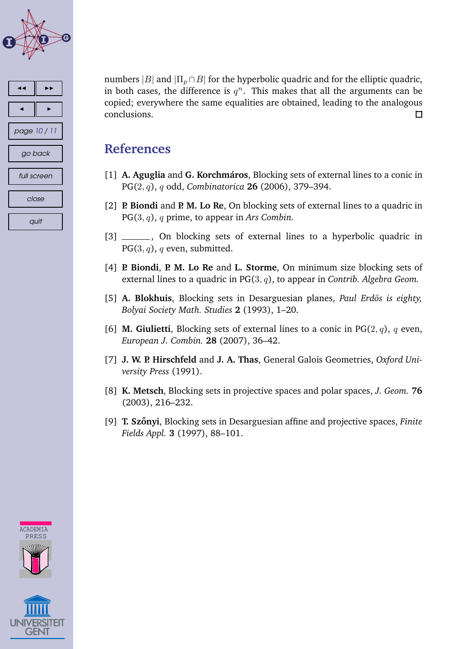<span id="page-9-0"></span>



numbers |B| and  $|\Pi_p \cap B|$  for the hyperbolic quadric and for the elliptic quadric, in both cases, the difference is  $q^n$ . This makes that all the arguments can be copied; everywhere the same equalities are obtained, leading to the analogous conclusions.  $\Box$ 

## **References**

- [1] **A. Aguglia** and **G. Korchmaros ´** , Blocking sets of external lines to a conic in PG(2, q), q odd, *Combinatorica* **26** (2006), 379–394.
- [2] **P. Biondi** and **P. M. Lo Re**, On blocking sets of external lines to a quadric in PG(3, q), q prime, to appear in *Ars Combin.*
- [3] \_\_\_\_\_\_, On blocking sets of external lines to a hyperbolic quadric in  $PG(3, q)$ , q even, submitted.
- [4] **P. Biondi**, **P. M. Lo Re** and **L. Storme**, On minimum size blocking sets of external lines to a quadric in PG(3, q), to appear in *Contrib. Algebra Geom.*
- [5] A. Blokhuis, Blocking sets in Desarguesian planes, *Paul Erdös is eighty*, *Bolyai Society Math. Studies* **2** (1993), 1–20.
- [6] **M. Giulietti**, Blocking sets of external lines to a conic in  $PG(2, q)$ , q even, *European J. Combin.* **28** (2007), 36–42.
- [7] **J. W. P. Hirschfeld** and **J. A. Thas**, General Galois Geometries, *Oxford University Press* (1991).
- [8] **K. Metsch**, Blocking sets in projective spaces and polar spaces, *J. Geom.* **76** (2003), 216–232.
- [9] **T. Szonyi ˝** , Blocking sets in Desarguesian affine and projective spaces, *Finite Fields Appl.* **3** (1997), 88–101.